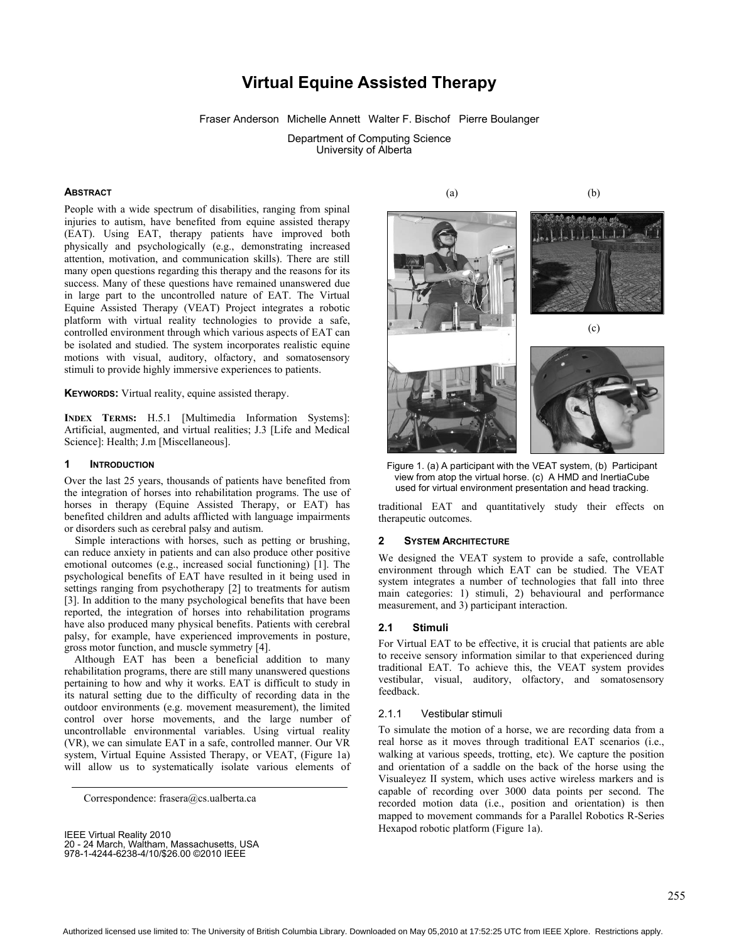# **Virtual Equine Assisted Therapy**

Fraser Anderson Michelle Annett Walter F. Bischof Pierre Boulanger

Department of Computing Science University of Alberta

#### **ABSTRACT**

People with a wide spectrum of disabilities, ranging from spinal injuries to autism, have benefited from equine assisted therapy (EAT). Using EAT, therapy patients have improved both physically and psychologically (e.g., demonstrating increased attention, motivation, and communication skills). There are still many open questions regarding this therapy and the reasons for its success. Many of these questions have remained unanswered due in large part to the uncontrolled nature of EAT. The Virtual Equine Assisted Therapy (VEAT) Project integrates a robotic platform with virtual reality technologies to provide a safe, controlled environment through which various aspects of EAT can be isolated and studied. The system incorporates realistic equine motions with visual, auditory, olfactory, and somatosensory stimuli to provide highly immersive experiences to patients.

**KEYWORDS:** Virtual reality, equine assisted therapy.

**INDEX TERMS:** H.5.1 [Multimedia Information Systems]: Artificial, augmented, and virtual realities; J.3 [Life and Medical Science]: Health; J.m [Miscellaneous].

#### **1 INTRODUCTION**

Over the last 25 years, thousands of patients have benefited from the integration of horses into rehabilitation programs. The use of horses in therapy (Equine Assisted Therapy, or EAT) has benefited children and adults afflicted with language impairments or disorders such as cerebral palsy and autism.

Simple interactions with horses, such as petting or brushing, can reduce anxiety in patients and can also produce other positive emotional outcomes (e.g., increased social functioning) [1]. The psychological benefits of EAT have resulted in it being used in settings ranging from psychotherapy [2] to treatments for autism [3]. In addition to the many psychological benefits that have been reported, the integration of horses into rehabilitation programs have also produced many physical benefits. Patients with cerebral palsy, for example, have experienced improvements in posture, gross motor function, and muscle symmetry [4].

Although EAT has been a beneficial addition to many rehabilitation programs, there are still many unanswered questions pertaining to how and why it works. EAT is difficult to study in its natural setting due to the difficulty of recording data in the outdoor environments (e.g. movement measurement), the limited control over horse movements, and the large number of uncontrollable environmental variables. Using virtual reality (VR), we can simulate EAT in a safe, controlled manner. Our VR system, Virtual Equine Assisted Therapy, or VEAT, (Figure 1a) will allow us to systematically isolate various elements of

Correspondence: frasera@cs.ualberta.ca

 $(a)$  (b)

(c) Figure 1. (a) A participant with the VEAT system, (b) Participant

view from atop the virtual horse. (c) A HMD and InertiaCube used for virtual environment presentation and head tracking.

traditional EAT and quantitatively study their effects on therapeutic outcomes.

#### **2 SYSTEM ARCHITECTURE**

We designed the VEAT system to provide a safe, controllable environment through which EAT can be studied. The VEAT system integrates a number of technologies that fall into three main categories: 1) stimuli, 2) behavioural and performance measurement, and 3) participant interaction.

# **2.1 Stimuli**

For Virtual EAT to be effective, it is crucial that patients are able to receive sensory information similar to that experienced during traditional EAT. To achieve this, the VEAT system provides vestibular, visual, auditory, olfactory, and somatosensory feedback.

#### 2.1.1 Vestibular stimuli

To simulate the motion of a horse, we are recording data from a real horse as it moves through traditional EAT scenarios (i.e., walking at various speeds, trotting, etc). We capture the position and orientation of a saddle on the back of the horse using the Visualeyez II system, which uses active wireless markers and is capable of recording over 3000 data points per second. The recorded motion data (i.e., position and orientation) is then mapped to movement commands for a Parallel Robotics R-Series Hexapod robotic platform (Figure 1a).

IEEE Virtual Reality 2010<br>20 - 24 March, Waltham, Massachusetts, USA IEEE Virtual Reality 2010 978-1-4244-6238-4/10/\$26.00 ©2010 IEEE